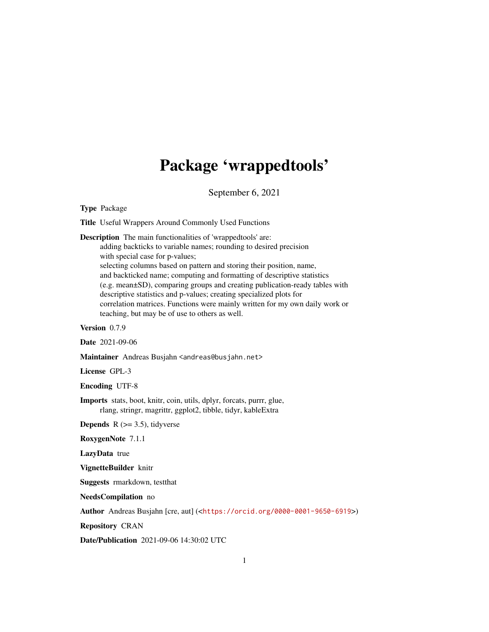# Package 'wrappedtools'

September 6, 2021

<span id="page-0-0"></span>Type Package

Title Useful Wrappers Around Commonly Used Functions

Description The main functionalities of 'wrappedtools' are:

adding backticks to variable names; rounding to desired precision with special case for p-values; selecting columns based on pattern and storing their position, name, and backticked name; computing and formatting of descriptive statistics (e.g. mean±SD), comparing groups and creating publication-ready tables with descriptive statistics and p-values; creating specialized plots for correlation matrices. Functions were mainly written for my own daily work or teaching, but may be of use to others as well.

Version 0.7.9

Date 2021-09-06

Maintainer Andreas Busjahn <andreas@busjahn.net>

License GPL-3

Encoding UTF-8

Imports stats, boot, knitr, coin, utils, dplyr, forcats, purrr, glue, rlang, stringr, magrittr, ggplot2, tibble, tidyr, kableExtra

**Depends** R  $(>= 3.5)$ , tidyverse

RoxygenNote 7.1.1

LazyData true

VignetteBuilder knitr

Suggests rmarkdown, testthat

NeedsCompilation no

Author Andreas Busjahn [cre, aut] (<<https://orcid.org/0000-0001-9650-6919>>)

Repository CRAN

Date/Publication 2021-09-06 14:30:02 UTC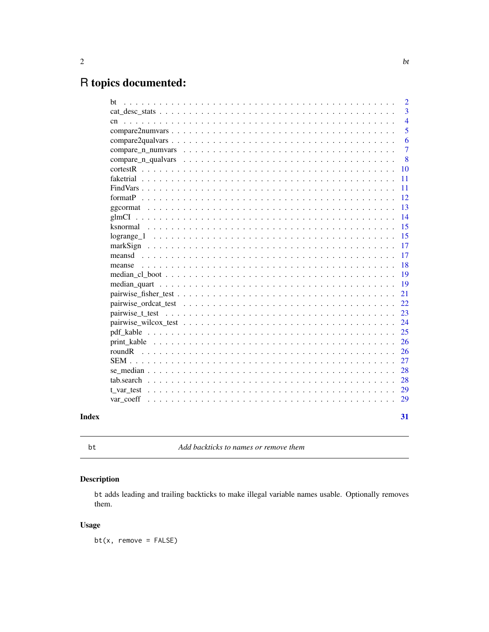# <span id="page-1-0"></span>R topics documented:

| bt                                                                                                                                                                                                                             | $\overline{2}$ |
|--------------------------------------------------------------------------------------------------------------------------------------------------------------------------------------------------------------------------------|----------------|
|                                                                                                                                                                                                                                | 3              |
| cn                                                                                                                                                                                                                             | $\overline{4}$ |
|                                                                                                                                                                                                                                | 5              |
|                                                                                                                                                                                                                                | 6              |
|                                                                                                                                                                                                                                | $\overline{7}$ |
| compare_n_qualvars                                                                                                                                                                                                             | 8              |
|                                                                                                                                                                                                                                | 10             |
| faketrial experience and contained a series and contained a series of the series of the series of the series of the series of the series of the series of the series of the series of the series of the series of the series o | 11             |
| FindVars                                                                                                                                                                                                                       | 11             |
| format $P$ , $\ldots$                                                                                                                                                                                                          | 12             |
| ggcormat                                                                                                                                                                                                                       | 13             |
|                                                                                                                                                                                                                                | 14             |
| ksnormal                                                                                                                                                                                                                       | 15             |
|                                                                                                                                                                                                                                | 15             |
|                                                                                                                                                                                                                                | 17             |
| meansd                                                                                                                                                                                                                         | 17             |
| meanse                                                                                                                                                                                                                         | 18             |
|                                                                                                                                                                                                                                | 19             |
|                                                                                                                                                                                                                                | 19             |
|                                                                                                                                                                                                                                | 21             |
|                                                                                                                                                                                                                                | 22             |
|                                                                                                                                                                                                                                | 23             |
|                                                                                                                                                                                                                                | 24             |
|                                                                                                                                                                                                                                | 25             |
|                                                                                                                                                                                                                                | 26             |
| roundR                                                                                                                                                                                                                         | 26             |
|                                                                                                                                                                                                                                | 27             |
|                                                                                                                                                                                                                                | 28             |
| tab.search                                                                                                                                                                                                                     | 28             |
| t_var_test                                                                                                                                                                                                                     | 29             |
| var_coeff                                                                                                                                                                                                                      | 29             |
|                                                                                                                                                                                                                                |                |
|                                                                                                                                                                                                                                | 31             |

# **Index**

 $\operatorname{\mathsf{bt}}$ 

Add backticks to names or remove them

# **Description**

bt adds leading and trailing backticks to make illegal variable names usable. Optionally removes them.

# **Usage**

 $bt(x, remove = FALSE)$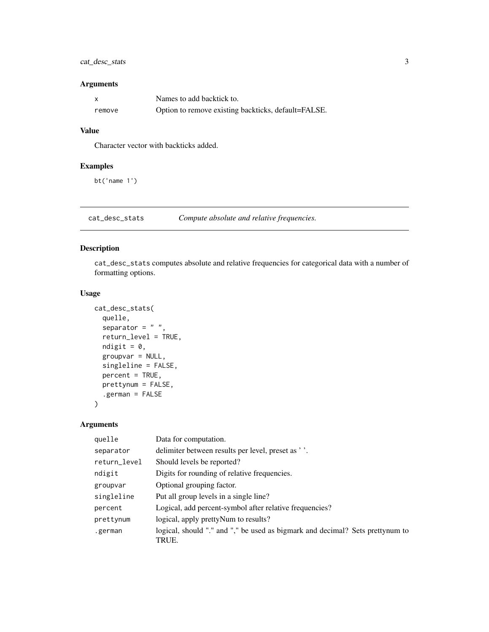# <span id="page-2-0"></span>cat\_desc\_stats 3

#### Arguments

|        | Names to add backtick to.                           |
|--------|-----------------------------------------------------|
| remove | Option to remove existing backticks, default=FALSE. |

#### Value

Character vector with backticks added.

#### Examples

bt('name 1')

cat\_desc\_stats *Compute absolute and relative frequencies.*

#### Description

cat\_desc\_stats computes absolute and relative frequencies for categorical data with a number of formatting options.

# Usage

```
cat_desc_stats(
  quelle,
  separator = " "return_level = TRUE,
  ndigit = 0,
  groupvar = NULL,
  singleline = FALSE,
  percent = TRUE,
  prettynum = FALSE,
  .german = FALSE
\overline{\phantom{a}}
```
# Arguments

| quelle       | Data for computation.                                                                  |
|--------------|----------------------------------------------------------------------------------------|
| separator    | delimiter between results per level, preset as '.                                      |
| return_level | Should levels be reported?                                                             |
| ndigit       | Digits for rounding of relative frequencies.                                           |
| groupvar     | Optional grouping factor.                                                              |
| singleline   | Put all group levels in a single line?                                                 |
| percent      | Logical, add percent-symbol after relative frequencies?                                |
| prettynum    | logical, apply pretty Num to results?                                                  |
| .german      | logical, should "." and "," be used as bigmark and decimal? Sets prettynum to<br>TRUE. |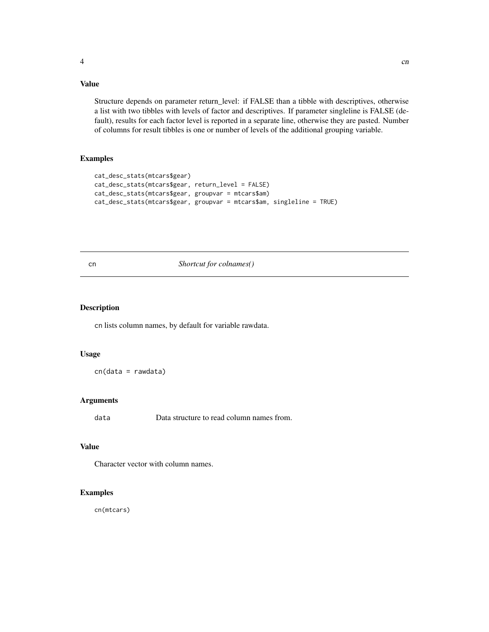# <span id="page-3-0"></span>Value

Structure depends on parameter return\_level: if FALSE than a tibble with descriptives, otherwise a list with two tibbles with levels of factor and descriptives. If parameter singleline is FALSE (default), results for each factor level is reported in a separate line, otherwise they are pasted. Number of columns for result tibbles is one or number of levels of the additional grouping variable.

# Examples

```
cat_desc_stats(mtcars$gear)
cat_desc_stats(mtcars$gear, return_level = FALSE)
cat_desc_stats(mtcars$gear, groupvar = mtcars$am)
cat_desc_stats(mtcars$gear, groupvar = mtcars$am, singleline = TRUE)
```
cn *Shortcut for colnames()*

#### Description

cn lists column names, by default for variable rawdata.

#### Usage

cn(data = rawdata)

#### Arguments

data Data structure to read column names from.

#### Value

Character vector with column names.

#### Examples

cn(mtcars)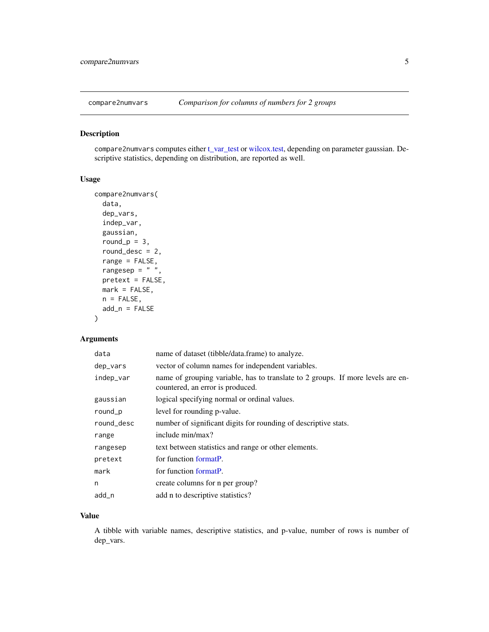<span id="page-4-0"></span>

compare2numvars computes either [t\\_var\\_test](#page-28-1) or [wilcox.test,](#page-0-0) depending on parameter gaussian. Descriptive statistics, depending on distribution, are reported as well.

# Usage

```
compare2numvars(
 data,
 dep_vars,
  indep_var,
 gaussian,
 round_p = 3,
 round_desc = 2,
  range = FALSE,
 rangesep = " "pretext = FALSE,mark = FALSE,n = FALSE,
 add_n = FALSE)
```
# Arguments

| data       | name of dataset (tibble/data.frame) to analyze.                                                                     |
|------------|---------------------------------------------------------------------------------------------------------------------|
| dep_vars   | vector of column names for independent variables.                                                                   |
| indep_var  | name of grouping variable, has to translate to 2 groups. If more levels are en-<br>countered, an error is produced. |
| gaussian   | logical specifying normal or ordinal values.                                                                        |
| round_p    | level for rounding p-value.                                                                                         |
| round_desc | number of significant digits for rounding of descriptive stats.                                                     |
| range      | include min/max?                                                                                                    |
| rangesep   | text between statistics and range or other elements.                                                                |
| pretext    | for function formatP.                                                                                               |
| mark       | for function formatP.                                                                                               |
| n          | create columns for n per group?                                                                                     |
| add_n      | add n to descriptive statistics?                                                                                    |

#### Value

A tibble with variable names, descriptive statistics, and p-value, number of rows is number of dep\_vars.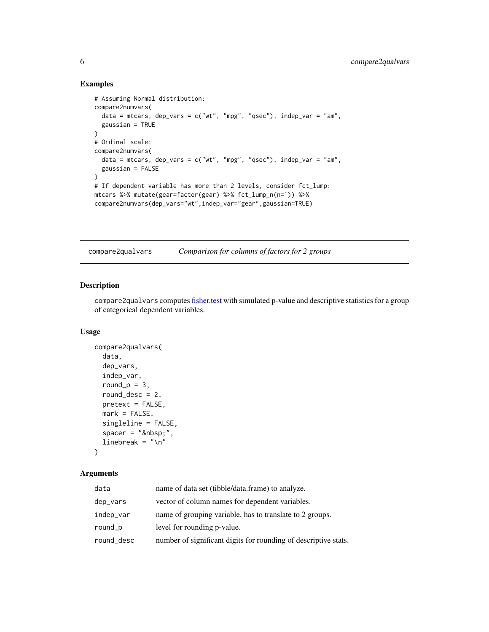#### Examples

```
# Assuming Normal distribution:
compare2numvars(
  data = mtcars, dep_vars = c("wt", "mpg", "qsec"), indep_var = "am",
  gaussian = TRUE
)
# Ordinal scale:
compare2numvars(
  data = mtcars, dep_vars = c("wt", "mpg", "qsec"), indep_lar = "am",gaussian = FALSE
)
# If dependent variable has more than 2 levels, consider fct_lump:
mtcars %>% mutate(gear=factor(gear) %>% fct_lump_n(n=1)) %>%
compare2numvars(dep_vars="wt",indep_var="gear",gaussian=TRUE)
```
compare2qualvars *Comparison for columns of factors for 2 groups*

# Description

compare2qualvars computes [fisher.test](#page-0-0) with simulated p-value and descriptive statistics for a group of categorical dependent variables.

#### Usage

```
compare2qualvars(
  data,
  dep_vars,
  indep_var,
  round_p = 3,
  round_desc = 2,
  pretext = FALSE,
 mark = FALSE,singleline = FALSE,
  space = " ",linebreak = " \n\cdot \n\cdot
```
# )

# Arguments

| data       | name of data set (tibble/data.frame) to analyze.                |  |
|------------|-----------------------------------------------------------------|--|
| dep_vars   | vector of column names for dependent variables.                 |  |
| indep_var  | name of grouping variable, has to translate to 2 groups.        |  |
| round_p    | level for rounding p-value.                                     |  |
| round_desc | number of significant digits for rounding of descriptive stats. |  |

<span id="page-5-0"></span>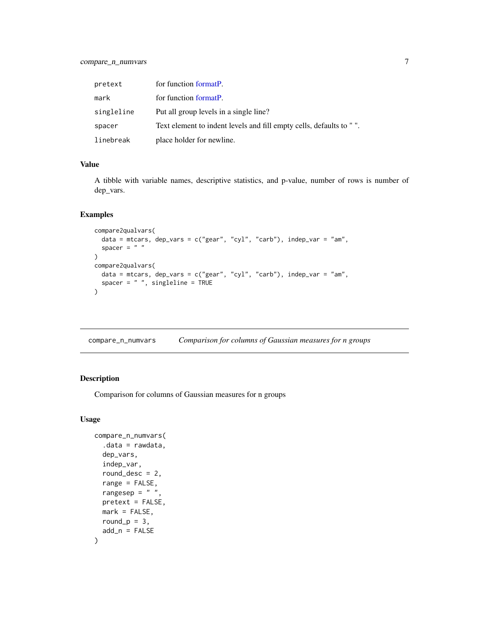<span id="page-6-0"></span>

| pretext    | for function formatP.                                              |
|------------|--------------------------------------------------------------------|
| mark       | for function formatP.                                              |
| singleline | Put all group levels in a single line?                             |
| spacer     | Text element to indent levels and fill empty cells, defaults to ". |
| linebreak  | place holder for newline.                                          |

#### Value

A tibble with variable names, descriptive statistics, and p-value, number of rows is number of dep\_vars.

# Examples

```
compare2qualvars(
  data = mtcars, dep_vars = c("year", "cyl", "carb"), indep_lvar = "am",spacer = " ")
compare2qualvars(
  data = mtcars, dep_vars = c("year", "cyl", "carb"), indep_var = "am",spacer = " ", singleline = TRUE
)
```
compare\_n\_numvars *Comparison for columns of Gaussian measures for n groups*

# Description

Comparison for columns of Gaussian measures for n groups

#### Usage

```
compare_n_numvars(
  data = rawdata,dep_vars,
  indep_var,
  round_desc = 2,
  range = FALSE,
  rangesep = " "pretext = FALSE,
 mark = FALSE,
 round_p = 3,
  add_n = FALSE)
```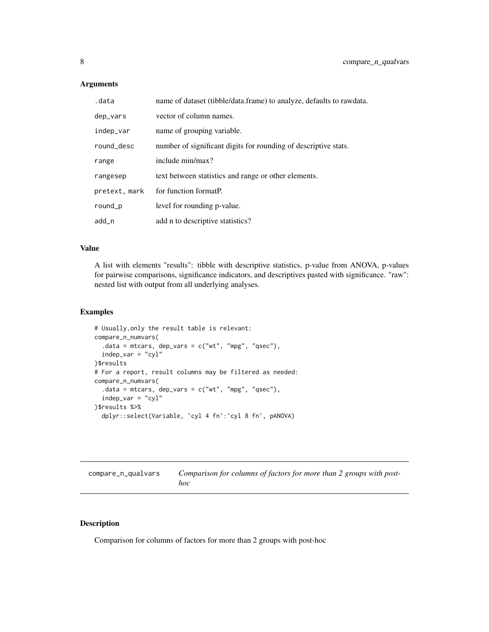# <span id="page-7-0"></span>Arguments

| .data         | name of dataset (tibble/data.frame) to analyze, defaults to rawdata. |  |
|---------------|----------------------------------------------------------------------|--|
| dep_vars      | vector of column names.                                              |  |
| indep_var     | name of grouping variable.                                           |  |
| round_desc    | number of significant digits for rounding of descriptive stats.      |  |
| range         | include min/max?                                                     |  |
| rangesep      | text between statistics and range or other elements.                 |  |
| pretext, mark | for function formatP.                                                |  |
| round_p       | level for rounding p-value.                                          |  |
| add_n         | add n to descriptive statistics?                                     |  |

#### Value

A list with elements "results": tibble with descriptive statistics, p-value from ANOVA, p-values for pairwise comparisons, significance indicators, and descriptives pasted with significance. "raw": nested list with output from all underlying analyses.

# Examples

```
# Usually,only the result table is relevant:
compare_n_numvars(
  .data = mtcars, dep_vars = c("wt", "mpg", "qsec"),indep_var = "cyl"
)$results
# For a report, result columns may be filtered as needed:
compare_n_numvars(
  .data = mtcars, dep_vars = c("wt", "mpg", "qsec"),indep\_var = "cyl")$results %>%
  dplyr::select(Variable, `cyl 4 fn`:`cyl 8 fn`, pANOVA)
```

| compare_n_qualvars | Comparison for columns of factors for more than 2 groups with post- |
|--------------------|---------------------------------------------------------------------|
|                    | hoc                                                                 |

# Description

Comparison for columns of factors for more than 2 groups with post-hoc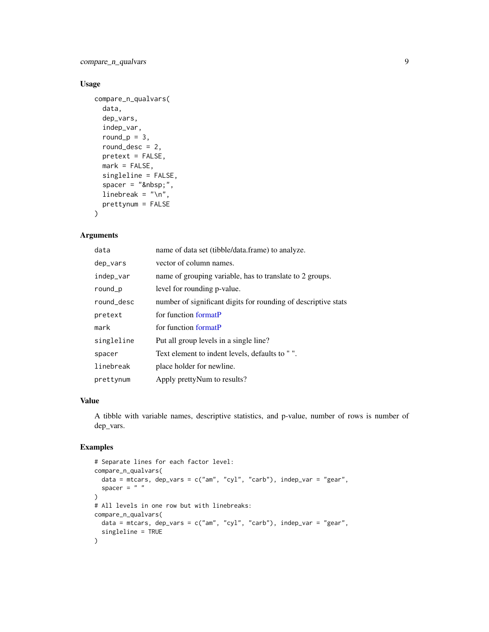<span id="page-8-0"></span>compare\_n\_qualvars 9

#### Usage

```
compare_n_qualvars(
  data,
  dep_vars,
  indep_var,
  round_p = 3,
  round_desc = 2,
 pretext = FALSE,
 mark = FALSE,singleline = FALSE,
  space = " ",linebreak = "\n\n\cdot",
 prettynum = FALSE
\mathcal{L}
```
# Arguments

| data       | name of data set (tibble/data.frame) to analyze.               |  |
|------------|----------------------------------------------------------------|--|
| dep_vars   | vector of column names.                                        |  |
| indep_var  | name of grouping variable, has to translate to 2 groups.       |  |
| round_p    | level for rounding p-value.                                    |  |
| round_desc | number of significant digits for rounding of descriptive stats |  |
| pretext    | for function formatP                                           |  |
| mark       | for function formatP                                           |  |
| singleline | Put all group levels in a single line?                         |  |
| spacer     | Text element to indent levels, defaults to "".                 |  |
| linebreak  | place holder for newline.                                      |  |
| prettynum  | Apply prettyNum to results?                                    |  |

#### Value

A tibble with variable names, descriptive statistics, and p-value, number of rows is number of dep\_vars.

```
# Separate lines for each factor level:
compare_n_qualvars(
  data = mtcars, dep_vars = c("am", "cyl", "carb"), indep_var = "gear",spacer = " "\mathcal{L}# All levels in one row but with linebreaks:
compare_n_qualvars(
  data = mtcars, dep_vars = c("am", "cyl", "carb"), indep_var = "gear",singleline = TRUE
)
```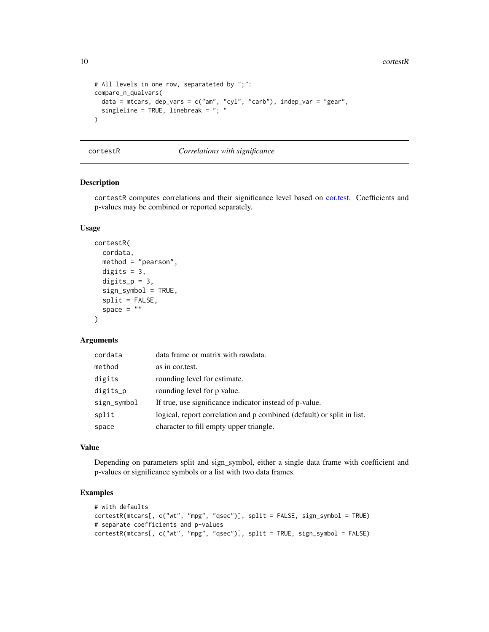<span id="page-9-0"></span>10 cortestR

```
# All levels in one row, separateted by ";":
compare_n_qualvars(
  data = mtcars, dep_vars = c("am", "cyl", "carb"), indep_var = "gear",
  singleline = TRUE, linebreak = "; "
)
```
cortestR *Correlations with significance*

#### Description

cortestR computes correlations and their significance level based on [cor.test.](#page-0-0) Coefficients and p-values may be combined or reported separately.

# Usage

```
cortestR(
  cordata,
 method = "pearson",
  digits = 3,
  digits_p = 3,
  sign_symbol = TRUE,
  split = FALSE,space = ""
)
```
#### Arguments

| cordata     | data frame or matrix with rawdata.                                     |
|-------------|------------------------------------------------------------------------|
| method      | as in cortest.                                                         |
| digits      | rounding level for estimate.                                           |
| digits_p    | rounding level for p value.                                            |
| sign_symbol | If true, use significance indicator instead of p-value.                |
| split       | logical, report correlation and p combined (default) or split in list. |
| space       | character to fill empty upper triangle.                                |

# Value

Depending on parameters split and sign\_symbol, either a single data frame with coefficient and p-values or significance symbols or a list with two data frames.

```
# with defaults
cortestR(mtcars[, c("wt", "mpg", "qsec")], split = FALSE, sign_symbol = TRUE)
# separate coefficients and p-values
cortestR(mtcars[, c("wt", "mpg", "qsec")], split = TRUE, sign_symbol = FALSE)
```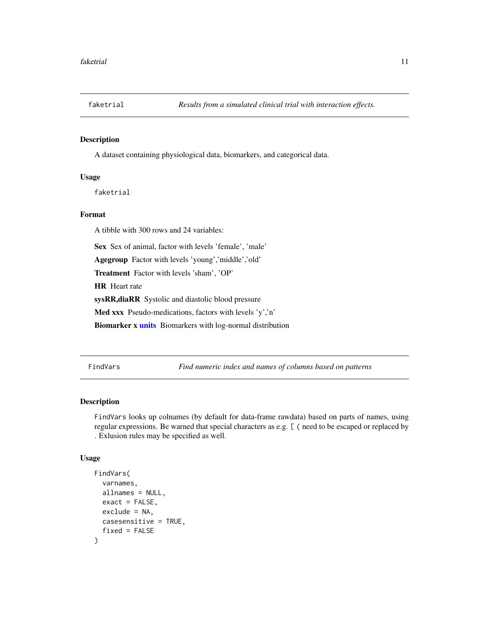<span id="page-10-0"></span>

A dataset containing physiological data, biomarkers, and categorical data.

#### Usage

faketrial

# Format

A tibble with 300 rows and 24 variables:

Sex Sex of animal, factor with levels 'female', 'male'

Agegroup Factor with levels 'young','middle','old'

Treatment Factor with levels 'sham', 'OP'

HR Heart rate

sysRR,diaRR Systolic and diastolic blood pressure

Med xxx Pseudo-medications, factors with levels 'y','n'

Biomarker x [units](#page-0-0) Biomarkers with log-normal distribution

FindVars *Find numeric index and names of columns based on patterns*

# Description

FindVars looks up colnames (by default for data-frame rawdata) based on parts of names, using regular expressions. Be warned that special characters as e.g. [ ( need to be escaped or replaced by . Exlusion rules may be specified as well.

#### Usage

```
FindVars(
  varnames,
  allnames = NULL,
  exact = FALSE,exclude = NA,
 casesensitive = TRUE,
  fixed = FALSE
)
```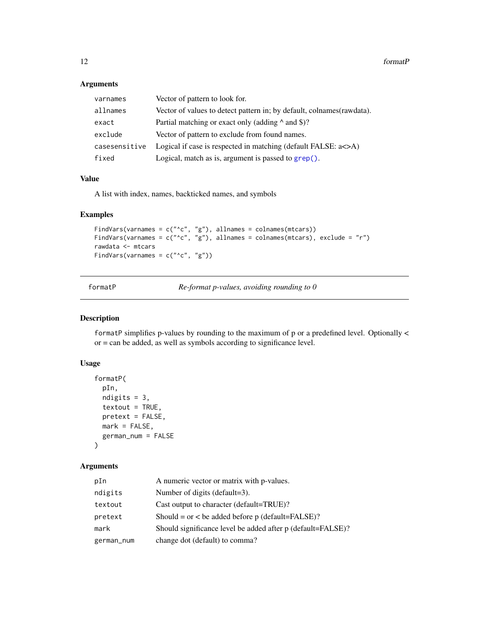# Arguments

| varnames      | Vector of pattern to look for.                                        |  |
|---------------|-----------------------------------------------------------------------|--|
| allnames      | Vector of values to detect pattern in; by default, colnames(rawdata). |  |
| exact         | Partial matching or exact only (adding $\land$ and \$)?               |  |
| exclude       | Vector of pattern to exclude from found names.                        |  |
| casesensitive | Logical if case is respected in matching (default FALSE: $a \leq A$ ) |  |
| fixed         | Logical, match as is, argument is passed to grep().                   |  |

#### Value

A list with index, names, backticked names, and symbols

#### Examples

```
FindVars(varnames = c("^c", "g"), allnames = colnames(mtcars))
FindVars(varnames = c("^c", "g"), allnames = colnames(mtcars), exclude = "r")
rawdata <- mtcars
FindVars(varnames = c("^c", "g"))
```
<span id="page-11-1"></span>

|  | formatP |  |
|--|---------|--|
|--|---------|--|

 $Re$ *-format p-values, avoiding rounding to 0* 

#### Description

formatP simplifies p-values by rounding to the maximum of p or a predefined level. Optionally < or = can be added, as well as symbols according to significance level.

#### Usage

```
formatP(
 pIn,
  ndigits = 3,
  text = TRUE,pretext = FALSE,mark = FALSE,
  german_num = FALSE
\mathcal{L}
```
# Arguments

| pIn        | A numeric vector or matrix with p-values.                   |
|------------|-------------------------------------------------------------|
| ndigits    | Number of digits (default=3).                               |
| textout    | Cast output to character (default=TRUE)?                    |
| pretext    | Should = or < be added before p (default= $FALSE$ )?        |
| mark       | Should significance level be added after p (default=FALSE)? |
| german_num | change dot (default) to comma?                              |

<span id="page-11-0"></span>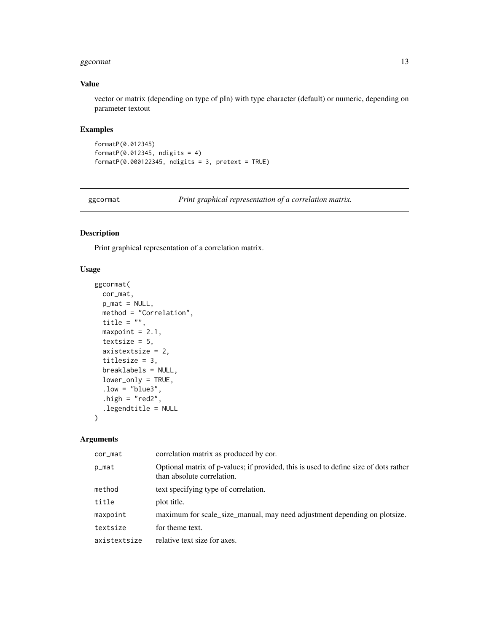#### <span id="page-12-0"></span>ggcormat the state of the state of the state of the state of the state of the state of the state of the state of the state of the state of the state of the state of the state of the state of the state of the state of the s

#### Value

vector or matrix (depending on type of pIn) with type character (default) or numeric, depending on parameter textout

#### Examples

```
formatP(0.012345)
formatP(0.012345, ndigits = 4)
formatP(0.000122345, ndigits = 3, pretext = TRUE)
```
ggcormat *Print graphical representation of a correlation matrix.*

#### Description

Print graphical representation of a correlation matrix.

#### Usage

```
ggcormat(
  cor_mat,
  p_mat = NULL,
  method = "Correlation",
  title = ",
  maxpoint = 2.1,
  textsize = 5,
  axistextsize = 2,
  titlesize = 3,
  breaklabels = NULL,
  lower_only = TRUE,
  low = "blue3",.high = "red2",.legendtitle = NULL
\mathcal{L}
```
#### Arguments

| cor_mat      | correlation matrix as produced by cor.                                                                             |
|--------------|--------------------------------------------------------------------------------------------------------------------|
| p_mat        | Optional matrix of p-values; if provided, this is used to define size of dots rather<br>than absolute correlation. |
| method       | text specifying type of correlation.                                                                               |
| title        | plot title.                                                                                                        |
| maxpoint     | maximum for scale_size_manual, may need adjustment depending on plotsize.                                          |
| textsize     | for theme text.                                                                                                    |
| axistextsize | relative text size for axes.                                                                                       |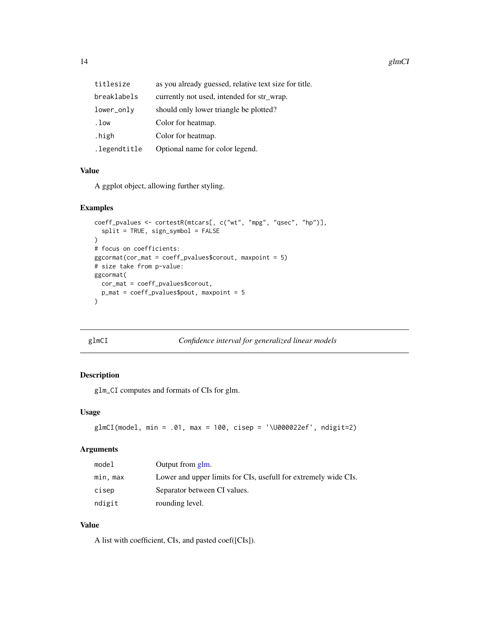<span id="page-13-0"></span>

| titlesize    | as you already guessed, relative text size for title. |
|--------------|-------------------------------------------------------|
| breaklabels  | currently not used, intended for str_wrap.            |
| lower_only   | should only lower triangle be plotted?                |
| .low         | Color for heatmap.                                    |
| .high        | Color for heatmap.                                    |
| .legendtitle | Optional name for color legend.                       |

#### Value

A ggplot object, allowing further styling.

# Examples

```
coeff_pvalues <- cortestR(mtcars[, c("wt", "mpg", "qsec", "hp")],
  split = TRUE, sign_symbol = FALSE
)
# focus on coefficients:
ggcormat(cor_mat = coeff_pvalues$corout, maxpoint = 5)
# size take from p-value:
ggcormat(
  cor_mat = coeff_pvalues$corout,
  p_mat = coeff_pvalues$pout, maxpoint = 5
\mathcal{L}
```
glmCI *Confidence interval for generalized linear models*

# Description

glm\_CI computes and formats of CIs for glm.

# Usage

```
glmCI(model, min = .01, max = 100, cisep = '\U000022ef', ndigit=2)
```
#### Arguments

| model    | Output from glm.                                                |
|----------|-----------------------------------------------------------------|
| min, max | Lower and upper limits for CIs, usefull for extremely wide CIs. |
| cisep    | Separator between CI values.                                    |
| ndigit   | rounding level.                                                 |

# Value

A list with coefficient, CIs, and pasted coef([CIs]).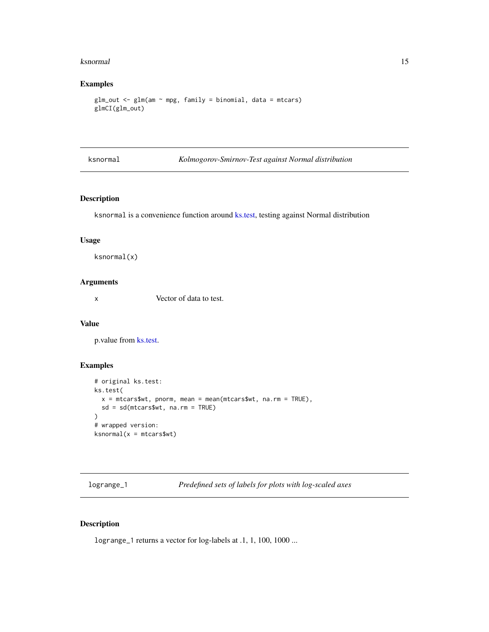#### <span id="page-14-0"></span>ksnormal and the set of the set of the set of the set of the set of the set of the set of the set of the set of the set of the set of the set of the set of the set of the set of the set of the set of the set of the set of

# Examples

```
glm\_out < - glm(am - mp, family = binomial, data = mtcars)glmCI(glm_out)
```
ksnormal *Kolmogorov-Smirnov-Test against Normal distribution*

# Description

ksnormal is a convenience function around [ks.test,](#page-0-0) testing against Normal distribution

#### Usage

ksnormal(x)

#### Arguments

x Vector of data to test.

#### Value

p.value from [ks.test.](#page-0-0)

# Examples

```
# original ks.test:
ks.test(
  x = mtcars$wt, pnorm, mean = mean(mtcars$wt, na.rm = TRUE),
  sd = sd(mtcars$wt, na.rm = TRUE)
)
# wrapped version:
ksnormal(x = mtcars$wt)
```
logrange\_1 *Predefined sets of labels for plots with log-scaled axes*

#### Description

logrange\_1 returns a vector for log-labels at .1, 1, 100, 1000 ...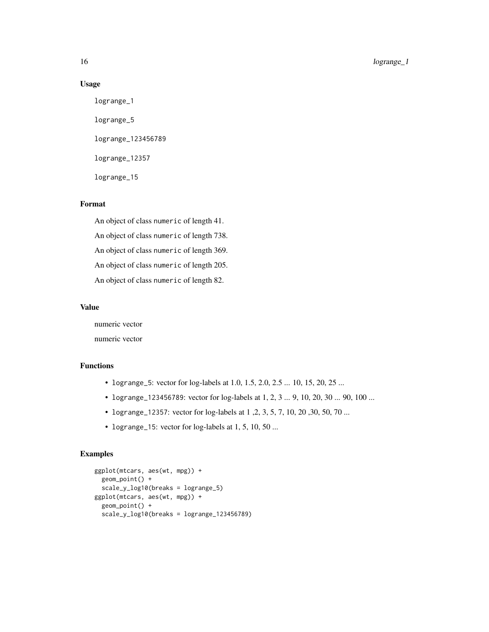16 logrange\_1

#### Usage

logrange\_1 logrange\_5 logrange\_123456789 logrange\_12357 logrange\_15

# Format

An object of class numeric of length 41. An object of class numeric of length 738. An object of class numeric of length 369. An object of class numeric of length 205. An object of class numeric of length 82.

#### Value

numeric vector numeric vector

# Functions

- logrange\_5: vector for log-labels at 1.0, 1.5, 2.0, 2.5 ... 10, 15, 20, 25 ...
- logrange\_123456789: vector for log-labels at 1, 2, 3 ... 9, 10, 20, 30 ... 90, 100 ...
- logrange\_12357: vector for log-labels at 1 ,2, 3, 5, 7, 10, 20 ,30, 50, 70 ...
- logrange\_15: vector for log-labels at 1, 5, 10, 50 ...

```
ggplot(mtcars, aes(wt, mpg)) +
  geom_point() +
  scale_y_log10(breaks = logrange_5)
ggplot(mtcars, aes(wt, mpg)) +
  geom_point() +
  scale_y_log10(breaks = logrange_123456789)
```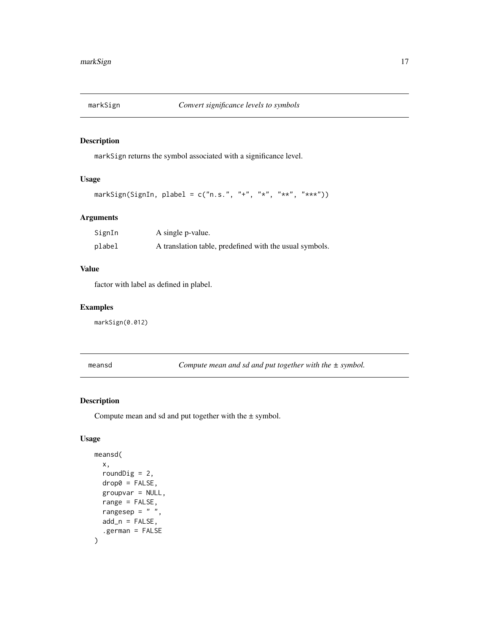<span id="page-16-0"></span>

markSign returns the symbol associated with a significance level.

#### Usage

```
markSign(SignIn, plabel = c("n.s."," "+", "**", "***", "***")
```
# Arguments

| SignIn | A single p-value.                                       |
|--------|---------------------------------------------------------|
| plabel | A translation table, predefined with the usual symbols. |

#### Value

factor with label as defined in plabel.

# Examples

markSign(0.012)

meansd *Compute mean and sd and put together with the ± symbol.*

# Description

Compute mean and sd and put together with the  $\pm$  symbol.

# Usage

```
meansd(
  x,
  roundDig = 2,
  drop0 = FALSE,
  groupvar = NULL,
  range = FALSE,
  rangesep = " "add_n = FALSE,.german = FALSE
\mathcal{E}
```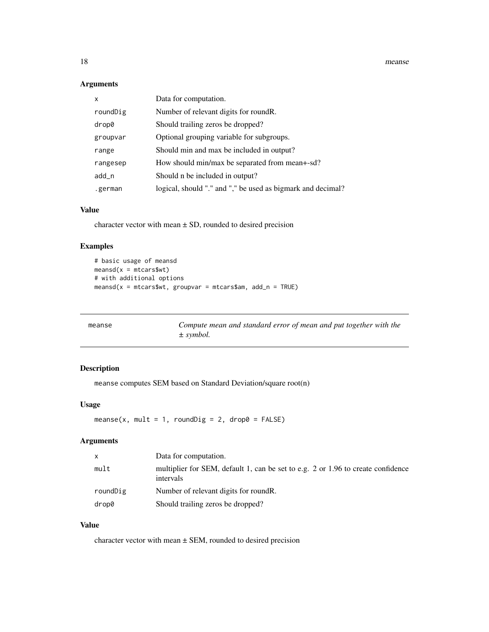<span id="page-17-0"></span>18 meanse

#### Arguments

| X        | Data for computation.                                       |
|----------|-------------------------------------------------------------|
| roundDig | Number of relevant digits for round R.                      |
| drop0    | Should trailing zeros be dropped?                           |
| groupvar | Optional grouping variable for subgroups.                   |
| range    | Should min and max be included in output?                   |
| rangesep | How should min/max be separated from mean+-sd?              |
| add_n    | Should n be included in output?                             |
| .german  | logical, should "." and "," be used as bigmark and decimal? |

# Value

character vector with mean  $\pm$  SD, rounded to desired precision

# Examples

```
# basic usage of meansd
meansd(x = mtcars$wt)# with additional options
meansd(x = mtcars$wt, groupvar = mtcars$am, add_n = TRUE)
```

| meanse | Compute mean and standard error of mean and put together with the |
|--------|-------------------------------------------------------------------|
|        | $\pm$ symbol.                                                     |

# Description

meanse computes SEM based on Standard Deviation/square root(n)

## Usage

meanse(x, mult = 1, roundDig = 2, drop0 = FALSE)

# Arguments

| X        | Data for computation.                                                                         |
|----------|-----------------------------------------------------------------------------------------------|
| mult     | multiplier for SEM, default 1, can be set to e.g. 2 or 1.96 to create confidence<br>intervals |
| roundDig | Number of relevant digits for round R.                                                        |
| drop0    | Should trailing zeros be dropped?                                                             |

# Value

character vector with mean  $\pm$  SEM, rounded to desired precision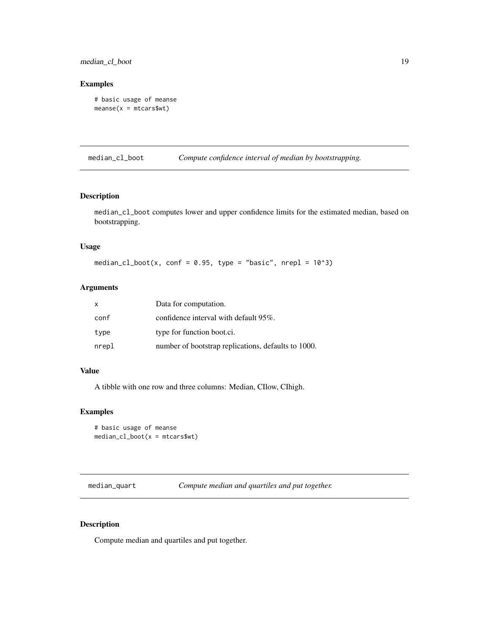<span id="page-18-0"></span>median\_cl\_boot 19

#### Examples

```
# basic usage of meanse
measure(x = m_{cars}wt)
```
median\_cl\_boot *Compute confidence interval of median by bootstrapping.*

# Description

median\_cl\_boot computes lower and upper confidence limits for the estimated median, based on bootstrapping.

# Usage

median\_cl\_boot(x, conf = 0.95, type = "basic", nrepl =  $10^{\circ}3$ )

# Arguments

| X     | Data for computation.                               |
|-------|-----------------------------------------------------|
| conf  | confidence interval with default $95\%$ .           |
| type  | type for function boot.ci.                          |
| nrepl | number of bootstrap replications, defaults to 1000. |

# Value

A tibble with one row and three columns: Median, CIlow, CIhigh.

#### Examples

```
# basic usage of meanse
median_cl\_boot(x = mtcars$wt)
```
median\_quart *Compute median and quartiles and put together.*

# Description

Compute median and quartiles and put together.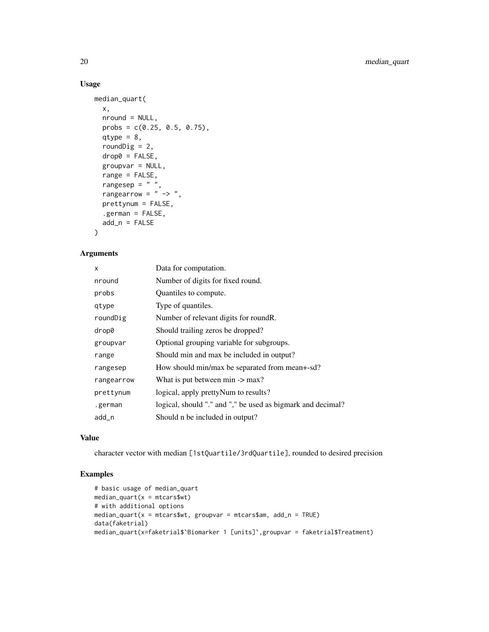# Usage

```
median_quart(
 x,
 nround = NULL,
 probs = c(0.25, 0.5, 0.75),
 qtype = 8,
 roundDig = 2,
 drop@ = FALSE,groupvar = NULL,
 range = FALSE,
 rangesep = " "rangearrow = " -> ",
 prettynum = FALSE,
  .german = FALSE,
 add_n = FALSE)
```
#### Arguments

| X          | Data for computation.                                       |
|------------|-------------------------------------------------------------|
| nround     | Number of digits for fixed round.                           |
| probs      | Quantiles to compute.                                       |
| qtype      | Type of quantiles.                                          |
| roundDig   | Number of relevant digits for roundR.                       |
| drop0      | Should trailing zeros be dropped?                           |
| groupvar   | Optional grouping variable for subgroups.                   |
| range      | Should min and max be included in output?                   |
| rangesep   | How should min/max be separated from mean+-sd?              |
| rangearrow | What is put between $\min \rightarrow \max$ ?               |
| prettynum  | logical, apply pretty Num to results?                       |
| .german    | logical, should "." and "," be used as bigmark and decimal? |
| add_n      | Should n be included in output?                             |

#### Value

character vector with median [1stQuartile/3rdQuartile], rounded to desired precision

```
# basic usage of median_quart
median_quart(x = mtcars$wt)# with additional options
median_quart(x = mtcars$wt, groupvar = mtcars$am, add_n = TRUE)
data(faketrial)
median_quart(x=faketrial$`Biomarker 1 [units]`,groupvar = faketrial$Treatment)
```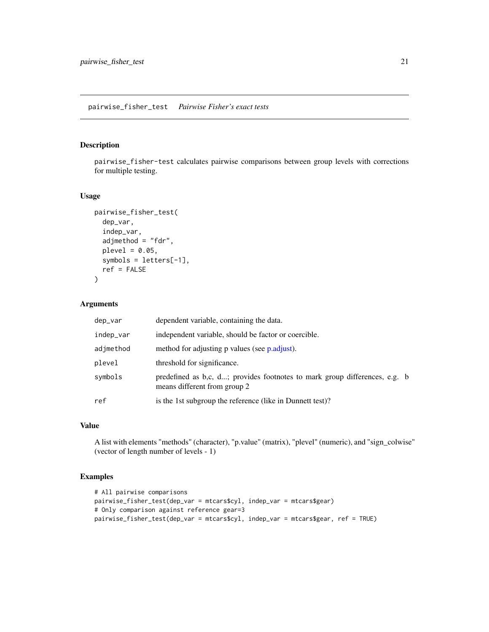#### <span id="page-20-0"></span>pairwise\_fisher\_test *Pairwise Fisher's exact tests*

# Description

pairwise\_fisher-test calculates pairwise comparisons between group levels with corrections for multiple testing.

#### Usage

```
pairwise_fisher_test(
  dep_var,
  indep_var,
  adjmethod = "fdr",
  \n  <i>plevel</i> = 0.05,symbols = letters[-1],
  ref = FALSE)
```
# Arguments

| dep_var   | dependent variable, containing the data.                                                                   |  |
|-----------|------------------------------------------------------------------------------------------------------------|--|
| indep_var | independent variable, should be factor or coercible.                                                       |  |
| adjmethod | method for adjusting p values (see p.adjust).                                                              |  |
| plevel    | threshold for significance.                                                                                |  |
| symbols   | predefined as b,c, d; provides footnotes to mark group differences, e.g. b<br>means different from group 2 |  |
| ref       | is the 1st subgroup the reference (like in Dunnett test)?                                                  |  |

# Value

A list with elements "methods" (character), "p.value" (matrix), "plevel" (numeric), and "sign\_colwise" (vector of length number of levels - 1)

```
# All pairwise comparisons
pairwise_fisher_test(dep_var = mtcars$cyl, indep_var = mtcars$gear)
# Only comparison against reference gear=3
pairwise_fisher_test(dep_var = mtcars$cyl, indep_var = mtcars$gear, ref = TRUE)
```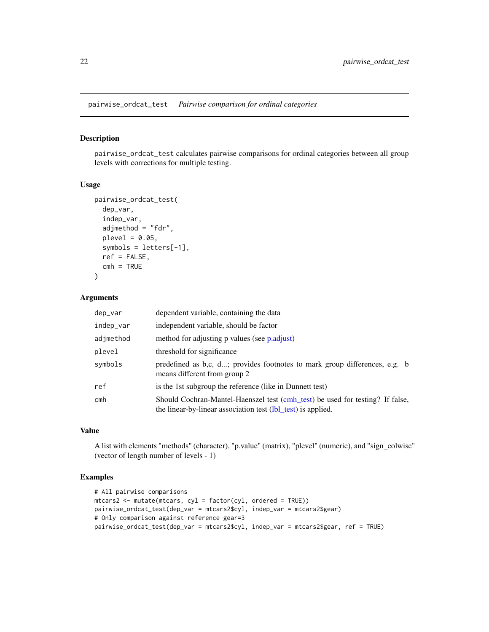<span id="page-21-0"></span>pairwise\_ordcat\_test *Pairwise comparison for ordinal categories*

#### Description

pairwise\_ordcat\_test calculates pairwise comparisons for ordinal categories between all group levels with corrections for multiple testing.

#### Usage

```
pairwise_ordcat_test(
  dep_var,
  indep_var,
  adjmethod = "fdr",\n  <i>plevel</i> = 0.05,symbols = letters[-1],
  ref = FALSE,cmh = TRUE)
```
# Arguments

| dep_var         | dependent variable, containing the data                                                                                                       |
|-----------------|-----------------------------------------------------------------------------------------------------------------------------------------------|
| indep_var       | independent variable, should be factor                                                                                                        |
| adjmethod       | method for adjusting p values (see p.adjust)                                                                                                  |
| plevel          | threshold for significance                                                                                                                    |
| symbols         | predefined as b,c, d; provides footnotes to mark group differences, e.g. b<br>means different from group 2                                    |
| ref             | is the 1st subgroup the reference (like in Dunnett test)                                                                                      |
| cm <sub>h</sub> | Should Cochran-Mantel-Haenszel test (cmh_test) be used for testing? If false,<br>the linear-by-linear association test (lbl_test) is applied. |

# Value

A list with elements "methods" (character), "p.value" (matrix), "plevel" (numeric), and "sign\_colwise" (vector of length number of levels - 1)

```
# All pairwise comparisons
mtcars2 <- mutate(mtcars, cyl = factor(cyl, ordered = TRUE))
pairwise_ordcat_test(dep_var = mtcars2$cyl, indep_var = mtcars2$gear)
# Only comparison against reference gear=3
pairwise_ordcat_test(dep_var = mtcars2$cyl, indep_var = mtcars2$gear, ref = TRUE)
```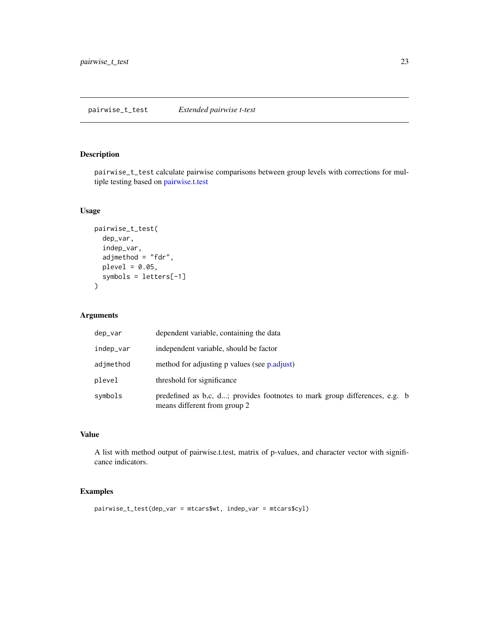<span id="page-22-0"></span>pairwise\_t\_test calculate pairwise comparisons between group levels with corrections for multiple testing based on [pairwise.t.test](#page-0-0)

#### Usage

```
pairwise_t_test(
  dep_var,
  indep_var,
  adjmethod = "fdr",\n  <i>plevel</i> = <math>0.05</math>,symbols = letters[-1]
\mathcal{L}
```
#### Arguments

| dep_var   | dependent variable, containing the data                                                                    |  |
|-----------|------------------------------------------------------------------------------------------------------------|--|
| indep_var | independent variable, should be factor                                                                     |  |
| adjmethod | method for adjusting p values (see p.adjust)                                                               |  |
| plevel    | threshold for significance                                                                                 |  |
| symbols   | predefined as b,c, d; provides footnotes to mark group differences, e.g. b<br>means different from group 2 |  |

# Value

A list with method output of pairwise.t.test, matrix of p-values, and character vector with significance indicators.

# Examples

pairwise\_t\_test(dep\_var = mtcars\$wt, indep\_var = mtcars\$cyl)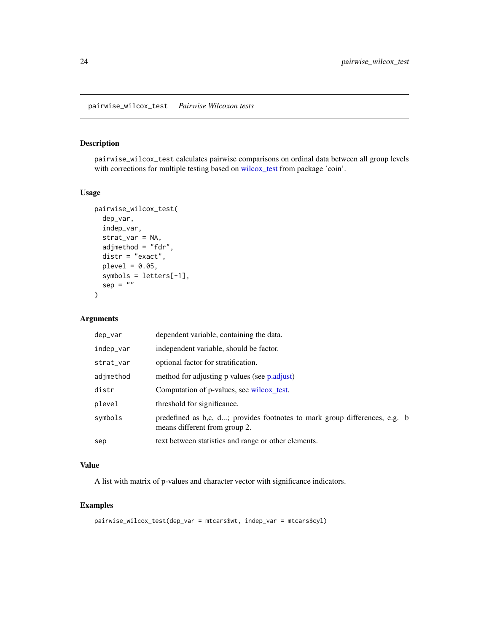<span id="page-23-0"></span>pairwise\_wilcox\_test calculates pairwise comparisons on ordinal data between all group levels with corrections for multiple testing based on [wilcox\\_test](#page-0-0) from package 'coin'.

# Usage

```
pairwise_wilcox_test(
  dep_var,
  indep_var,
  strat_var = NA,
  adjmethod = "fdr",
  distr = "exact",
  \n  <i>plevel</i> = <math>0.05</math>,symbols = letters[-1],
  sep = "")
```
# Arguments

| dep_var   | dependent variable, containing the data.                                                                    |  |
|-----------|-------------------------------------------------------------------------------------------------------------|--|
| indep_var | independent variable, should be factor.                                                                     |  |
| strat_var | optional factor for stratification.                                                                         |  |
| adjmethod | method for adjusting p values (see p.adjust)                                                                |  |
| distr     | Computation of p-values, see wilcox_test.                                                                   |  |
| plevel    | threshold for significance.                                                                                 |  |
| symbols   | predefined as b,c, d; provides footnotes to mark group differences, e.g. b<br>means different from group 2. |  |
| sep       | text between statistics and range or other elements.                                                        |  |

# Value

A list with matrix of p-values and character vector with significance indicators.

```
pairwise_wilcox_test(dep_var = mtcars$wt, indep_var = mtcars$cyl)
```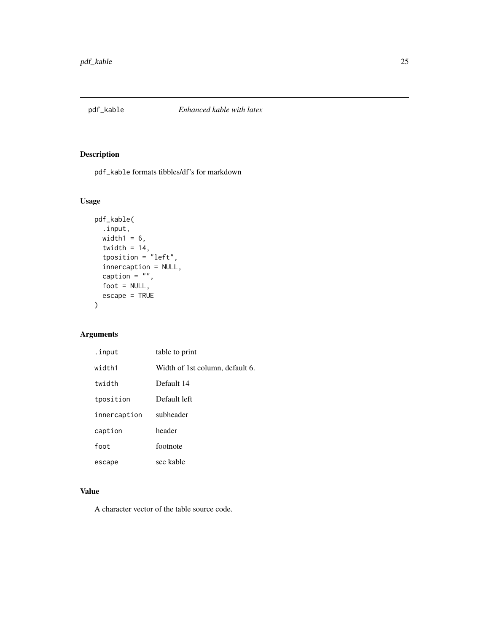<span id="page-24-0"></span>

pdf\_kable formats tibbles/df's for markdown

# Usage

```
pdf_kable(
  .input,
 width1 = 6,
  twidth = 14,
 tposition = "left,
  innercaption = NULL,
  caption = ",
  foot = NULL,escape = TRUE
)
```
# Arguments

| .input       | table to print                  |
|--------------|---------------------------------|
| width1       | Width of 1st column, default 6. |
| twidth       | Default 14                      |
| tposition    | Default left                    |
| innercaption | subheader                       |
| caption      | header                          |
| foot         | footnote                        |
| escape       | see kable                       |

# Value

A character vector of the table source code.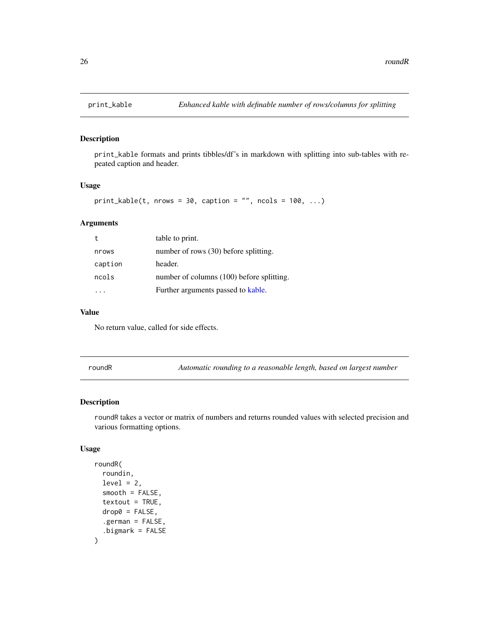<span id="page-25-0"></span>

print\_kable formats and prints tibbles/df's in markdown with splitting into sub-tables with repeated caption and header.

#### Usage

```
print_kable(t, nrows = 30, caption = ", ncols = 100, ...)
```
# Arguments

|         | table to print.                           |
|---------|-------------------------------------------|
| nrows   | number of rows (30) before splitting.     |
| caption | header.                                   |
| ncols   | number of columns (100) before splitting. |
|         | Further arguments passed to kable.        |

#### Value

No return value, called for side effects.

roundR *Automatic rounding to a reasonable length, based on largest number*

#### Description

roundR takes a vector or matrix of numbers and returns rounded values with selected precision and various formatting options.

#### Usage

```
roundR(
  roundin,
  level = 2,smooth = FALSE,textout = TRUE,
  drop@ = FALSE,.german = FALSE,
  .bigmark = FALSE
\mathcal{E}
```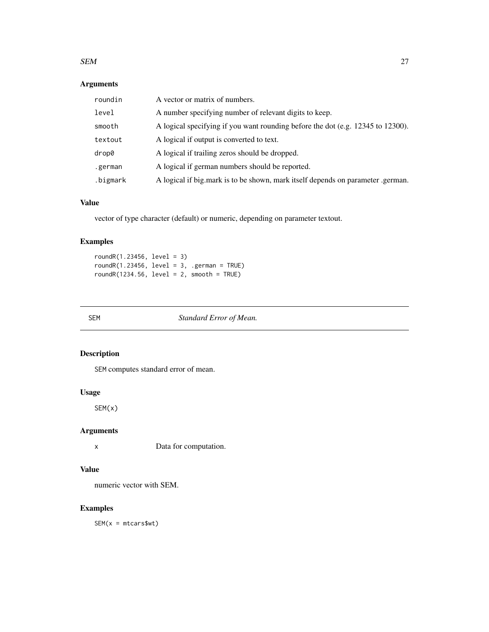#### <span id="page-26-0"></span> $SEM$  27

# Arguments

| roundin  | A vector or matrix of numbers.                                                  |
|----------|---------------------------------------------------------------------------------|
| level    | A number specifying number of relevant digits to keep.                          |
| smooth   | A logical specifying if you want rounding before the dot (e.g. 12345 to 12300). |
| textout  | A logical if output is converted to text.                                       |
| drop0    | A logical if trailing zeros should be dropped.                                  |
| .german  | A logical if german numbers should be reported.                                 |
| .bigmark | A logical if big.mark is to be shown, mark itself depends on parameter .german. |

# Value

vector of type character (default) or numeric, depending on parameter textout.

# Examples

roundR(1.23456, level = 3)  $roundR(1.23456, level = 3, .german = TRUE)$ roundR(1234.56, level = 2, smooth = TRUE)

SEM *Standard Error of Mean.*

# Description

SEM computes standard error of mean.

# Usage

SEM(x)

# Arguments

x Data for computation.

# Value

numeric vector with SEM.

# Examples

SEM(x = mtcars\$wt)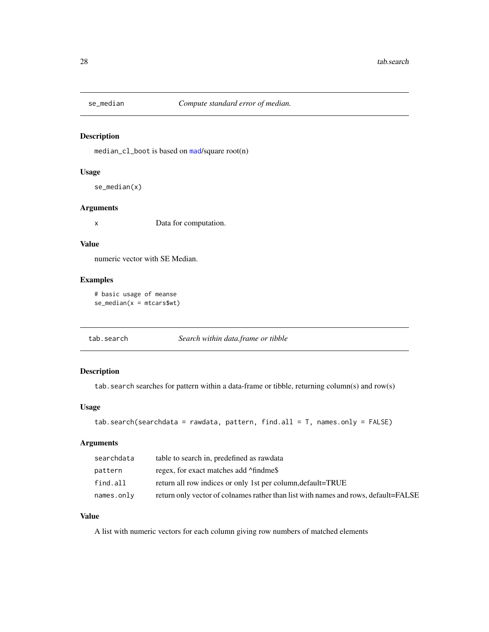<span id="page-27-0"></span>

median\_cl\_boot is based on [mad](#page-0-0)/square root(n)

#### Usage

se\_median(x)

#### Arguments

x Data for computation.

#### Value

numeric vector with SE Median.

#### Examples

```
# basic usage of meanse
se\_median(x = mtcars$wt)
```
tab.search *Search within data.frame or tibble*

# Description

tab. search searches for pattern within a data-frame or tibble, returning column(s) and row(s)

# Usage

```
tab.search(searchdata = rawdata, pattern, find. all = T, names. only = FALSE)
```
# Arguments

| searchdata | table to search in, predefined as rawdata                                          |
|------------|------------------------------------------------------------------------------------|
| pattern    | regex, for exact matches add $\land$ findme\$                                      |
| find.all   | return all row indices or only 1st per column, default=TRUE                        |
| names.only | return only vector of colnames rather than list with names and rows, default=FALSE |

#### Value

A list with numeric vectors for each column giving row numbers of matched elements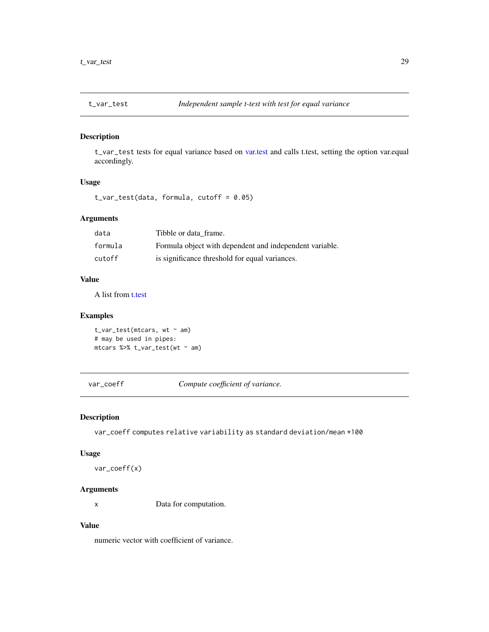<span id="page-28-1"></span><span id="page-28-0"></span>

t\_var\_test tests for equal variance based on [var.test](#page-0-0) and calls t.test, setting the option var.equal accordingly.

#### Usage

t\_var\_test(data, formula, cutoff = 0.05)

#### Arguments

| data    | Tibble or data frame.                                   |
|---------|---------------------------------------------------------|
| formula | Formula object with dependent and independent variable. |
| cutoff  | is significance threshold for equal variances.          |

#### Value

A list from [t.test](#page-0-0)

# Examples

```
t_\text{var_test(mtcars, wt ~ am)}# may be used in pipes:
mtcars %>% t_var_test(wt ~ am)
```
var\_coeff *Compute coefficient of variance.*

#### Description

var\_coeff computes relative variability as standard deviation/mean \*100

#### Usage

var\_coeff(x)

#### Arguments

x Data for computation.

#### Value

numeric vector with coefficient of variance.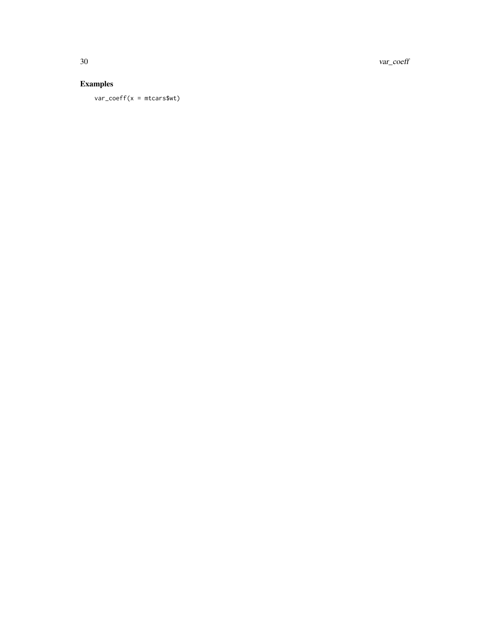30 var\_coeff

# Examples

var\_coeff(x = mtcars\$wt)